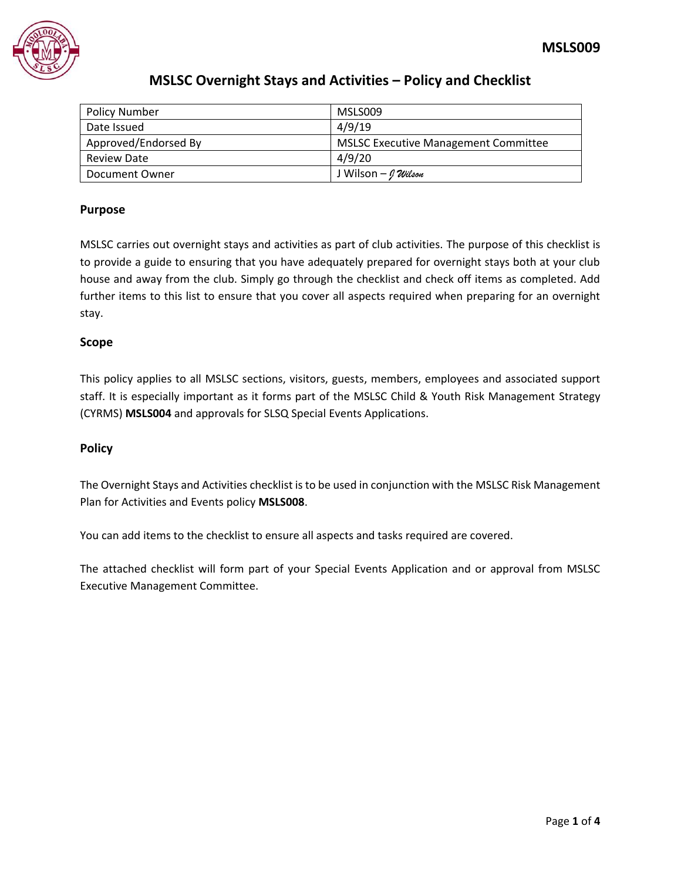

| <b>Policy Number</b> | MSLS009                                     |
|----------------------|---------------------------------------------|
| Date Issued          | 4/9/19                                      |
| Approved/Endorsed By | <b>MSLSC Executive Management Committee</b> |
| <b>Review Date</b>   | 4/9/20                                      |
| Document Owner       | J Wilson – <i>0 Wilson</i>                  |

#### **Purpose**

MSLSC carries out overnight stays and activities as part of club activities. The purpose of this checklist is to provide a guide to ensuring that you have adequately prepared for overnight stays both at your club house and away from the club. Simply go through the checklist and check off items as completed. Add further items to this list to ensure that you cover all aspects required when preparing for an overnight stay.

#### **Scope**

This policy applies to all MSLSC sections, visitors, guests, members, employees and associated support staff. It is especially important as it forms part of the MSLSC Child & Youth Risk Management Strategy (CYRMS) **MSLS004** and approvals for SLSQ Special Events Applications.

#### **Policy**

The Overnight Stays and Activities checklist is to be used in conjunction with the MSLSC Risk Management Plan for Activities and Events policy **MSLS008**.

You can add items to the checklist to ensure all aspects and tasks required are covered.

The attached checklist will form part of your Special Events Application and or approval from MSLSC Executive Management Committee.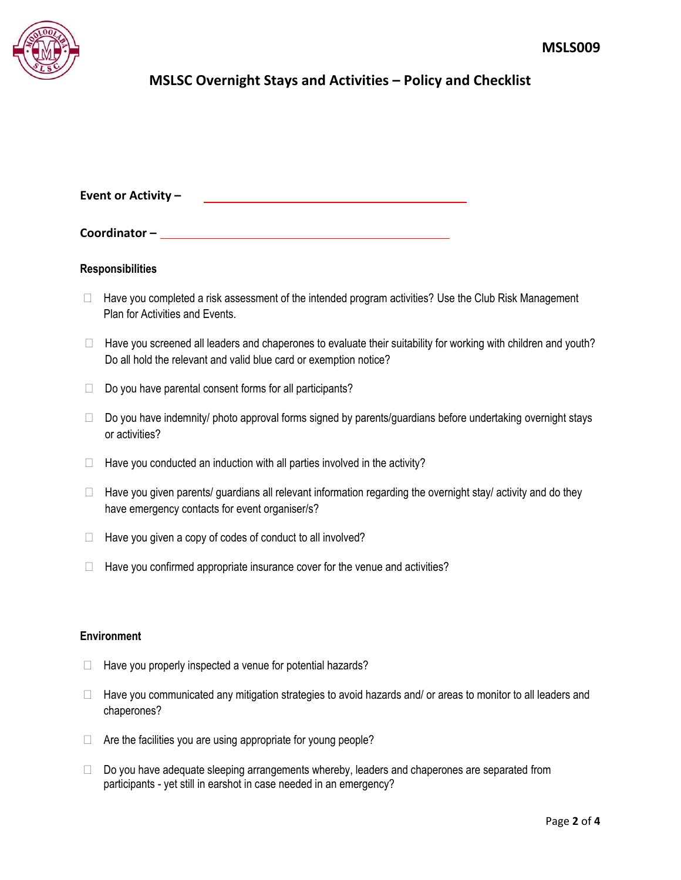

| Event or Activity - |  |  |
|---------------------|--|--|
|                     |  |  |

| Coordinator- |  |
|--------------|--|
|              |  |

#### **Responsibilities**

- $\Box$  Have you completed a risk assessment of the intended program activities? Use the Club Risk Management Plan for Activities and Events.
- $\Box$  Have you screened all leaders and chaperones to evaluate their suitability for working with children and youth? Do all hold the relevant and valid blue card or exemption notice?
- $\Box$  Do you have parental consent forms for all participants?
- $\Box$  Do you have indemnity/ photo approval forms signed by parents/guardians before undertaking overnight stays or activities?
- $\Box$  Have you conducted an induction with all parties involved in the activity?
- $\Box$  Have you given parents/ guardians all relevant information regarding the overnight stay/ activity and do they have emergency contacts for event organiser/s?
- $\Box$  Have you given a copy of codes of conduct to all involved?
- $\Box$  Have you confirmed appropriate insurance cover for the venue and activities?

#### **Environment**

- $\Box$  Have you properly inspected a venue for potential hazards?
- □ Have you communicated any mitigation strategies to avoid hazards and/ or areas to monitor to all leaders and chaperones?
- $\Box$  Are the facilities you are using appropriate for young people?
- $\Box$  Do you have adequate sleeping arrangements whereby, leaders and chaperones are separated from participants - yet still in earshot in case needed in an emergency?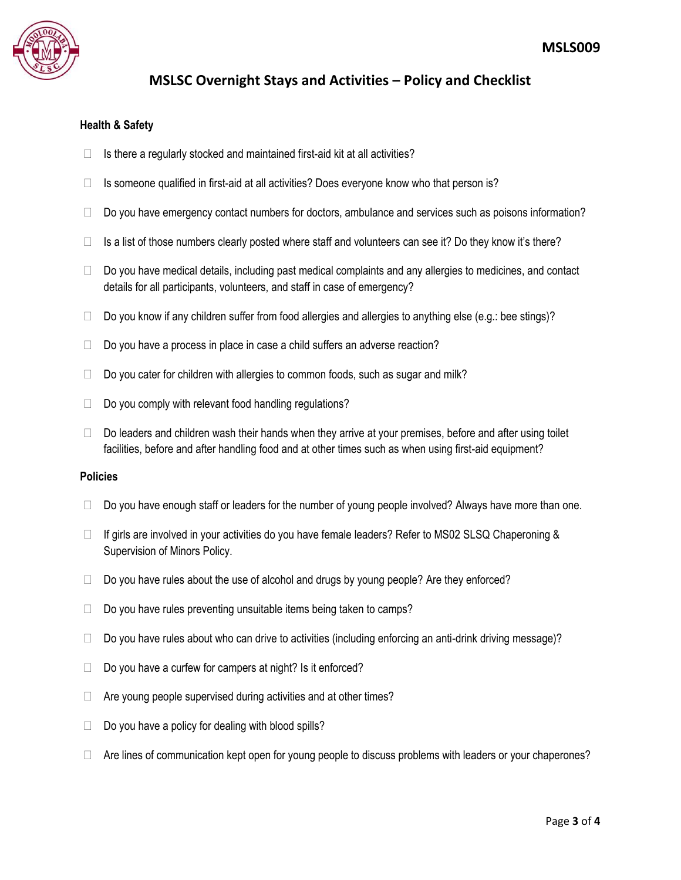

#### **Health & Safety**

- $\Box$  Is there a regularly stocked and maintained first-aid kit at all activities?
- $\Box$  Is someone qualified in first-aid at all activities? Does everyone know who that person is?
- $\Box$  Do you have emergency contact numbers for doctors, ambulance and services such as poisons information?
- $\Box$  Is a list of those numbers clearly posted where staff and volunteers can see it? Do they know it's there?
- $\Box$  Do you have medical details, including past medical complaints and any allergies to medicines, and contact details for all participants, volunteers, and staff in case of emergency?
- $\Box$  Do you know if any children suffer from food allergies and allergies to anything else (e.g.: bee stings)?
- $\Box$  Do you have a process in place in case a child suffers an adverse reaction?
- $\Box$  Do you cater for children with allergies to common foods, such as sugar and milk?
- $\Box$  Do you comply with relevant food handling regulations?
- $\Box$  Do leaders and children wash their hands when they arrive at your premises, before and after using toilet facilities, before and after handling food and at other times such as when using first-aid equipment?

#### **Policies**

- $\Box$  Do you have enough staff or leaders for the number of young people involved? Always have more than one.
- $\Box$  If girls are involved in your activities do you have female leaders? Refer to MS02 SLSQ Chaperoning & Supervision of Minors Policy.
- $\Box$  Do you have rules about the use of alcohol and drugs by young people? Are they enforced?
- $\Box$  Do you have rules preventing unsuitable items being taken to camps?
- $\Box$  Do you have rules about who can drive to activities (including enforcing an anti-drink driving message)?
- $\Box$  Do you have a curfew for campers at night? Is it enforced?
- $\Box$  Are young people supervised during activities and at other times?
- $\Box$  Do you have a policy for dealing with blood spills?
- $\Box$  Are lines of communication kept open for young people to discuss problems with leaders or your chaperones?